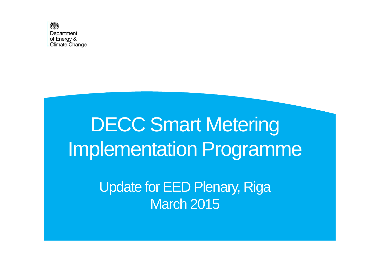

# DECC Smart Metering Implementation Programme

Update for EED Plenary, Riga March 2015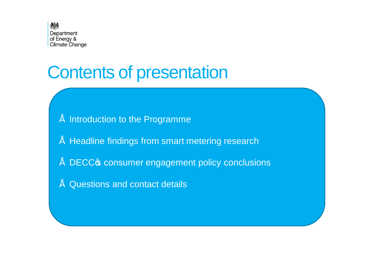

## Contents of presentation

- Introduction to the Programme
- Headline findings from smart metering research
- DECC<sub>®</sub> consumer engagement policy conclusions
- Questions and contact details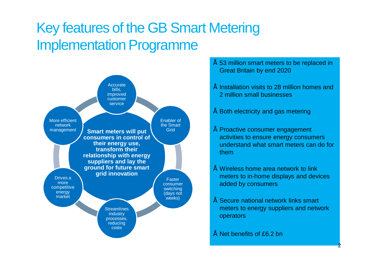### Key features of the GB Smart Metering Implementation Programme



• 53 million smart meters to be replaced in Great Britain by end 2020

- Installation visits to 28 million homes and 2 million small businesses
- Both electricity and gas metering
- Proactive consumer engagement activities to ensure energy consumers understand what smart meters can do for them
- Wireless home area network to link meters to in-home displays and devices added by consumers
- Secure national network links smart meters to energy suppliers and network operators
- Net benefits of £6.2 bn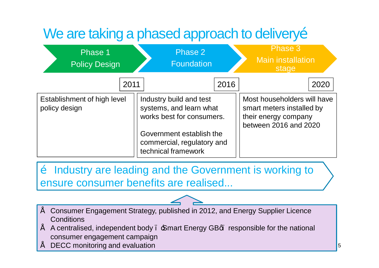## We are taking a phased approach to deliveryo

| Phase 1<br><b>Policy Design</b>              | Phase 2<br><b>Foundation</b>                                                    |      | Phase 3<br><b>Main installation</b><br>stage                                                              |
|----------------------------------------------|---------------------------------------------------------------------------------|------|-----------------------------------------------------------------------------------------------------------|
| 2011                                         |                                                                                 | 2016 | 2020                                                                                                      |
| Establishment of high level<br>policy design | Industry build and test<br>systems, and learn what<br>works best for consumers. |      | Most householders will have<br>smart meters installed by<br>their energy company<br>between 2016 and 2020 |
|                                              | Government establish the<br>commercial, regulatory and<br>technical framework   |      |                                                                                                           |

 $\ddot{\text{o}}$  Industry are leading and the Government is working to ensure consumer benefits are realised...

- Consumer Engagement Strategy, published in 2012, and Energy Supplier Licence **Conditions**
- A centralised, independent body . Smart Energy GBq. responsible for the national consumer engagement campaign
- DECC monitoring and evaluation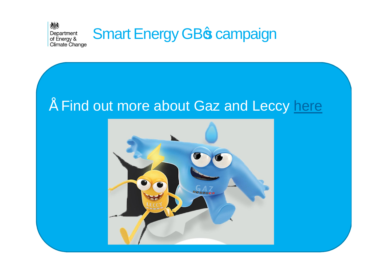

### • Find out more about Gaz and Leccy here

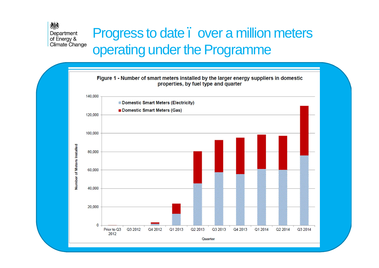#### 爆 Department of Energy & Climate Change

### Progress to date . over a million meters operating under the Programme

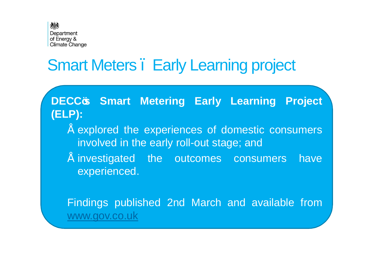

## **Smart Meters. Early Learning project**

**DECC's Smart Metering Early Learning Project (ELP):**

- explored the experiences of domestic consumers involved in the early roll-out stage; and
- " investigated the outcomes consumers have experienced.

Findings published 2nd March and available from www.gov.co.uk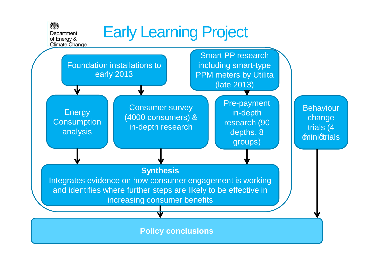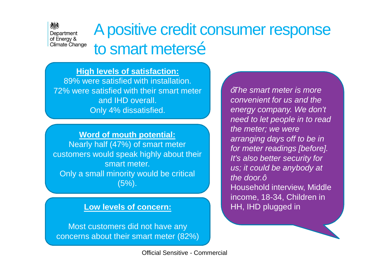## A positive credit consumer response to smart metersõ

#### **High levels of satisfaction:**

糖

Department of Energy & **Climate Change** 

> 89% were satisfied with installation. 72% were satisfied with their smart meter and IHD overall. Only 4% dissatisfied.

> **Word of mouth potential:** Nearly half (47%) of smart meter customers would speak highly about their smart meter. Only a small minority would be critical  $(5%)$ .

#### **Low levels of concern:**

Most customers did not have any concerns about their smart meter (82%)

Official Sensitive - Commercial

*"The smart meter is more convenient for us and the energy company. We don't need to let people in to read the meter; we were arranging days off to be in for meter readings [before]. It's also better security for us; it could be anybody at the door.* $+$ Household interview, Middle income, 18-34, Children in HH, IHD plugged in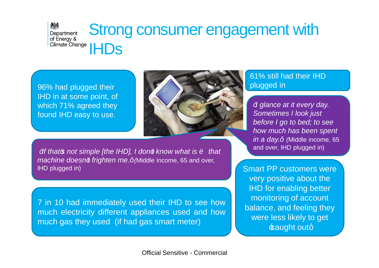#### 糖 Strong consumer engagement with Department of Energy & Climate Change | | | DS

96% had plugged their IHD in at some point, of which 71% agreed they found IHD easy to use.



*M*<sup>*s*</sup>*If that***<sup>** $\alpha$ **</sup>** *not simple [the IHD], I don<sup>* $\alpha$ *</sup> know what is*  $\tilde{o}$  *that*  $\alpha$ *machine doesn't frighten me." (*Middle income, 65 and over, IHD plugged in)

7 in 10 had immediately used their IHD to see how much electricity different appliances used and how much gas they used (if had gas smart meter)

#### 61% still had their IHD plugged in

*"I glance at it every day. Sometimes I look just before I go to bed; to see how much has been spent in a day.* + *(Middle income, 65* and over, IHD plugged in)

Smart PP customers were very positive about the IHD for enabling better monitoring of account balance, and feeling they were less likely to get  $\pm$ aught outq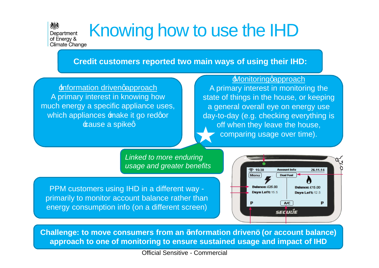# Knowing how to use the IHD

**Credit customers reported two main ways of using their IHD:**

*Information drivengapproach* A primary interest in knowing how much energy a specific appliance uses, which appliances make it go redqor **Eause a spiked** 

糖

Department of Energy & **Climate Change** 

> **Monitoringgapproach** A primary interest in monitoring the state of things in the house, or keeping a general overall eye on energy use day-to-day (e.g. checking everything is off when they leave the house, comparing usage over time).

*Linked to more enduring usage and greater benefits*

PPM customers using IHD in a different way primarily to monitor account balance rather than energy consumption info (on a different screen)



approach to one of monitoring to ensure sustained usage and impact of IHD **Challenge: to move consumers from an 'information driven' (or account balance)** 

Official Sensitive - Commercial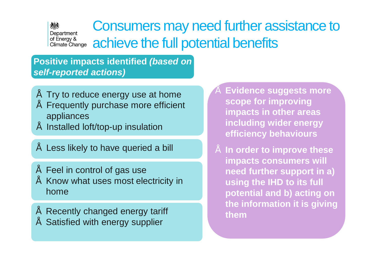#### Consumers may need further assistance to Department of Energy &<br>Climate Change achieve the full potential benefits

**Positive impacts identified** *(based on self-reported actions)* 

機

- Try to reduce energy use at home
- Frequently purchase more efficient appliances
- Installed loft/top-up insulation
- Less likely to have queried a bill
- Feel in control of gas use • Know what uses most electricity in home
- Recently changed energy tariff
- **Satisfied with energy supplier**
- **Evidence suggests more scope for improving impacts in other areas including wider energy efficiency behaviours**
- **In order to improve these impacts consumers will need further support in a) using the IHD to its full potential and b) acting on the information it is giving them**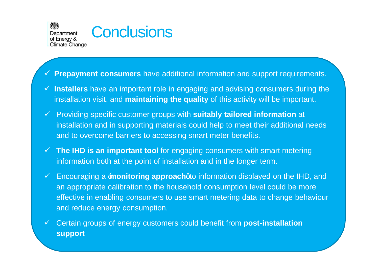糖素 Department of Energy & **Climate Change** 



#### ¸ **Prepayment consumers** have additional information and support requirements.

- ¸ **Installers** have an important role in engaging and advising consumers during the installation visit, and **maintaining the quality** of this activity will be important.
- ¸ Providing specific customer groups with **suitably tailored information** at installation and in supporting materials could help to meet their additional needs and to overcome barriers to accessing smart meter benefits.
- ¸ **The IHD is an important tool** for engaging consumers with smart metering information both at the point of installation and in the longer term.
- ¸ Encouraging a '**monitoring approach**' to information displayed on the IHD, and an appropriate calibration to the household consumption level could be more effective in enabling consumers to use smart metering data to change behaviour and reduce energy consumption.
- ¸ Certain groups of energy customers could benefit from **post-installation support**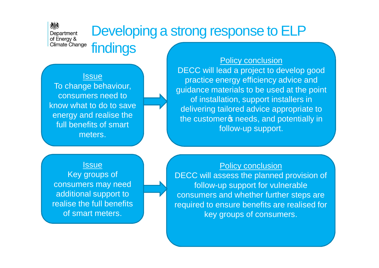## Developing a strong response to ELP

**Issue** 

糖素

Department of Energy & Climate Change

findings

To change behaviour, consumers need to know what to do to save energy and realise the full benefits of smart meters.

**Issue** Key groups of consumers may need additional support to realise the full benefits of smart meters.

**Policy conclusion** DECC will lead a project to develop good practice energy efficiency advice and guidance materials to be used at the point of installation, support installers in delivering tailored advice appropriate to the customer<sub>®</sub> needs, and potentially in follow-up support.

#### Policy conclusion

DECC will assess the planned provision of follow-up support for vulnerable consumers and whether further steps are required to ensure benefits are realised for key groups of consumers.